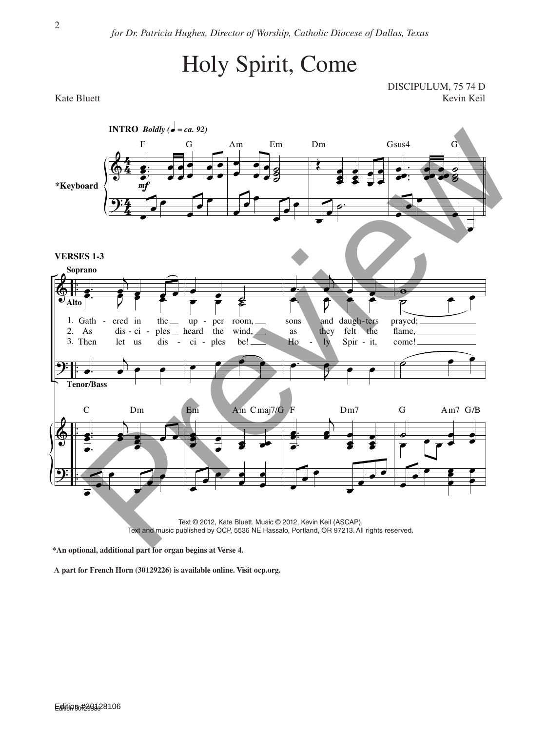## Holy Spirit, Come

DISCIPULUM, 75 74 D Kate Bluett Kevin Keil and Kevin Keil and Kevin Keil and Kevin Keil and Kevin Keil and Kevin Keil and Kevin Keil



**\*An optional, additional part for organ begins at Verse 4.**

**A part for French Horn (30129226) is available online. Visit ocp.org.**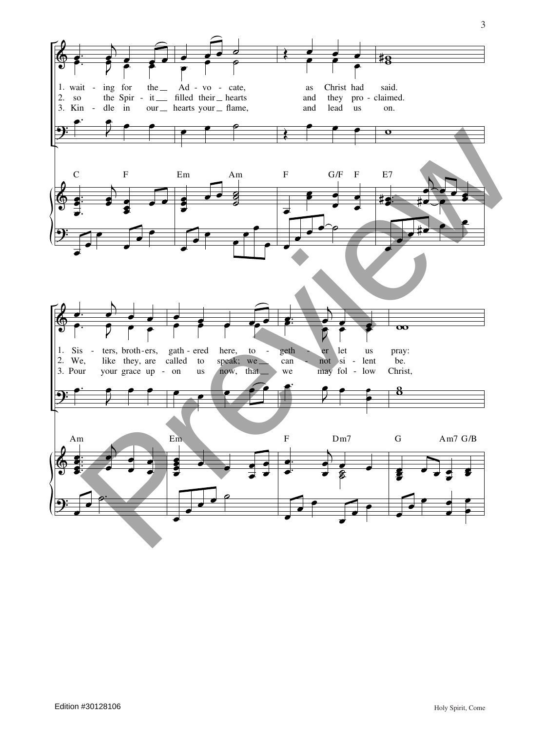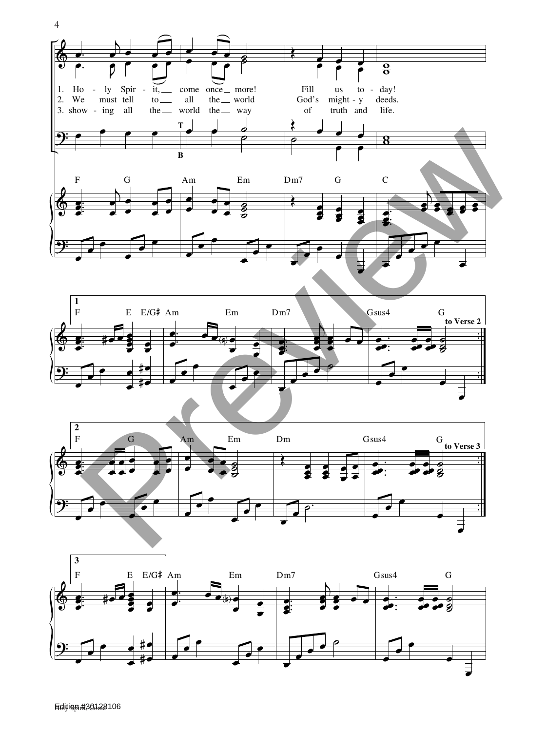





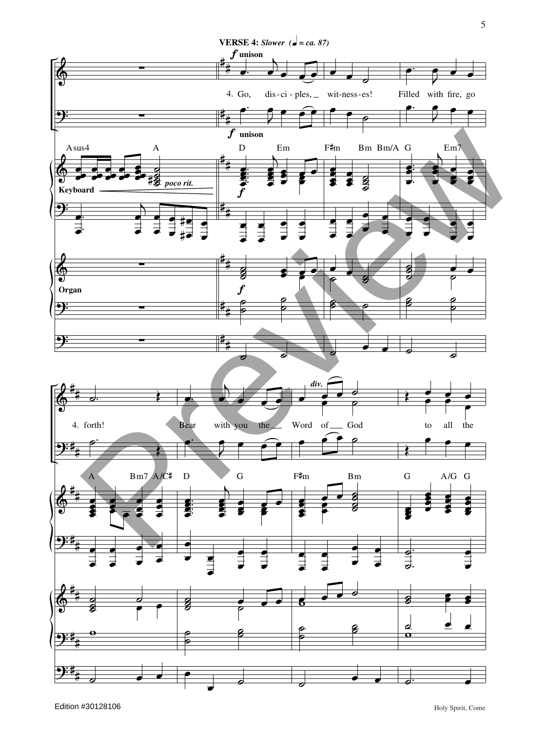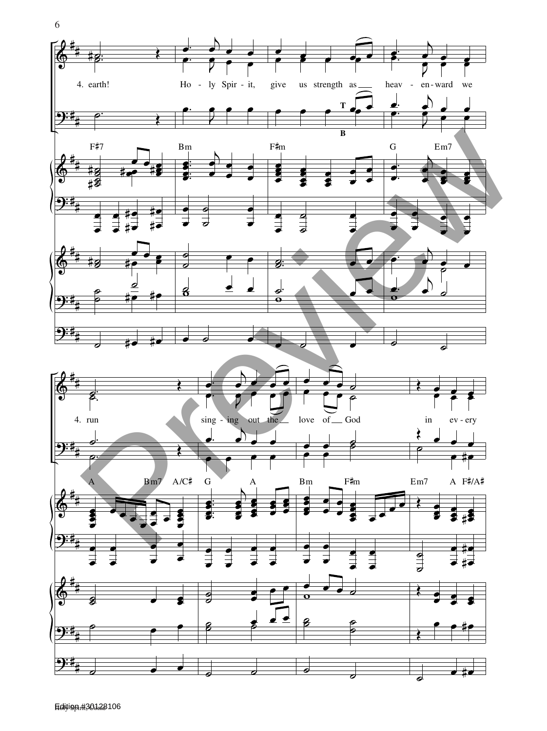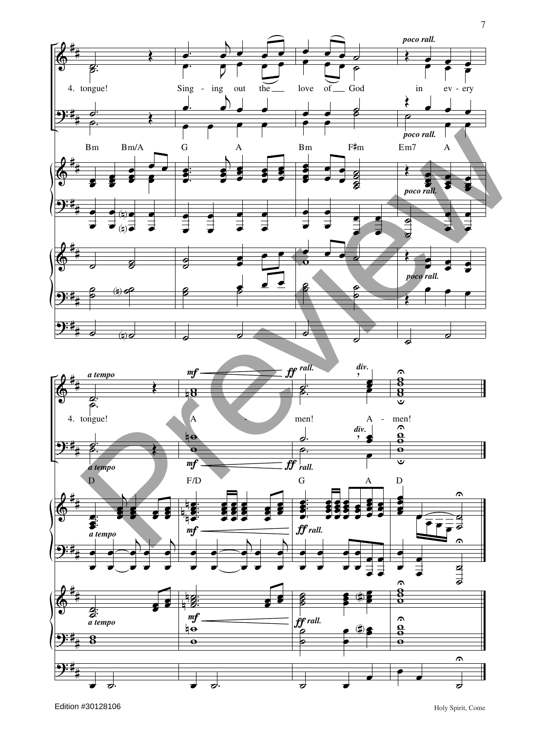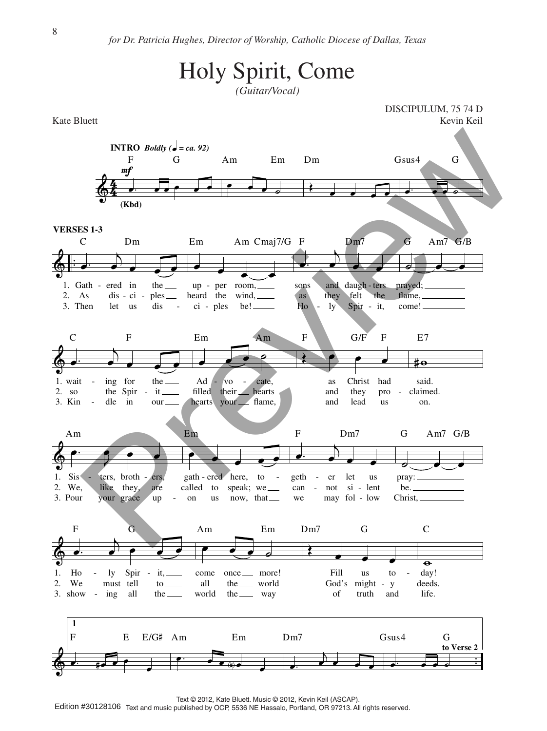

Text © 2012, Kate Bluett. Music © 2012, Kevin Keil (ASCAP).

Edition #30128106 Text and music published by OCP, 5536 NE Hassalo, Portland, OR 97213. All rights reserved.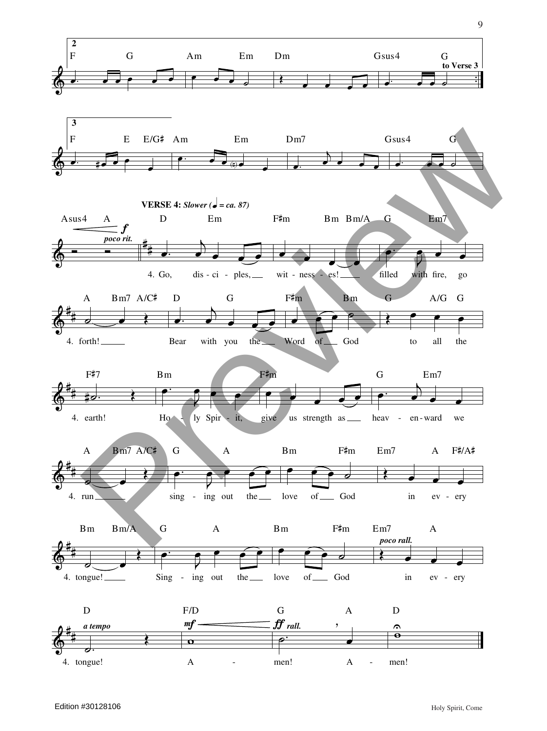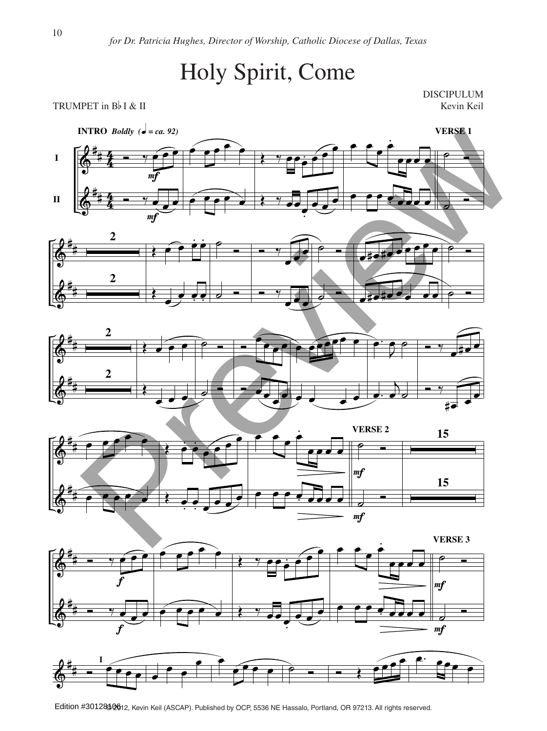## Holy Spirit, Come

DISCIPULUM









![](_page_8_Figure_7.jpeg)

![](_page_8_Figure_8.jpeg)

Edition #301285 0 612, Kevin Keil (ASCAP). Published by OCP, 5536 NE Hassalo, Portland, OR 97213. All rights reserved.

TRUMPET in  $B\not\vdash I \& II$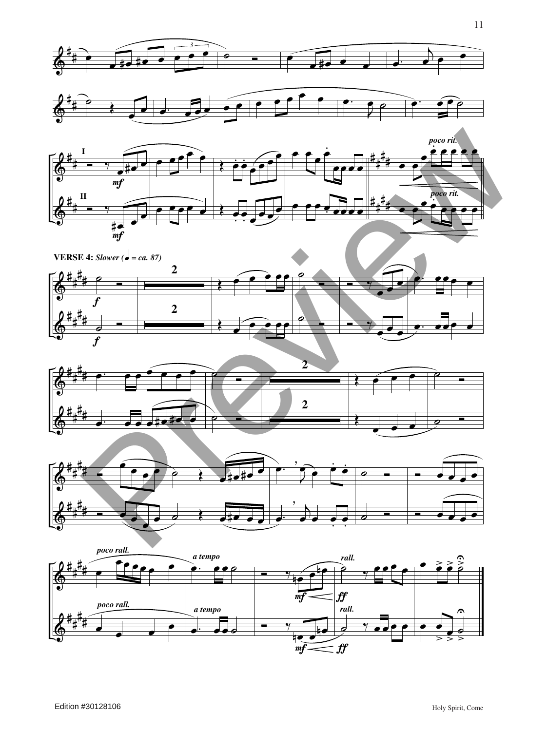![](_page_9_Figure_0.jpeg)

![](_page_9_Figure_1.jpeg)

![](_page_9_Figure_2.jpeg)

![](_page_9_Figure_3.jpeg)

![](_page_9_Figure_4.jpeg)

![](_page_9_Figure_5.jpeg)

![](_page_9_Figure_6.jpeg)